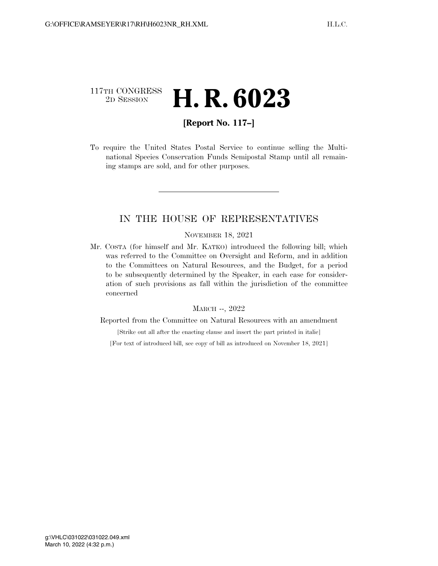## 117TH CONGRESS<br>2D SESSION 2D SESSION **H. R. 6023**

## **[Report No. 117–]**

To require the United States Postal Service to continue selling the Multinational Species Conservation Funds Semipostal Stamp until all remaining stamps are sold, and for other purposes.

### IN THE HOUSE OF REPRESENTATIVES

#### NOVEMBER 18, 2021

Mr. COSTA (for himself and Mr. KATKO) introduced the following bill; which was referred to the Committee on Oversight and Reform, and in addition to the Committees on Natural Resources, and the Budget, for a period to be subsequently determined by the Speaker, in each case for consideration of such provisions as fall within the jurisdiction of the committee concerned

#### MARCH --, 2022

Reported from the Committee on Natural Resources with an amendment

[Strike out all after the enacting clause and insert the part printed in italic]

[For text of introduced bill, see copy of bill as introduced on November 18, 2021]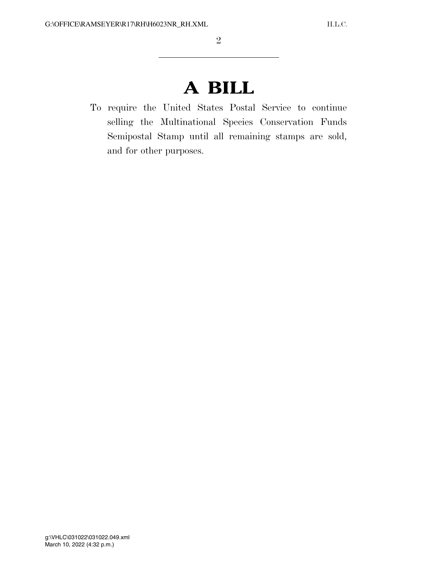# **A BILL**

To require the United States Postal Service to continue selling the Multinational Species Conservation Funds Semipostal Stamp until all remaining stamps are sold, and for other purposes.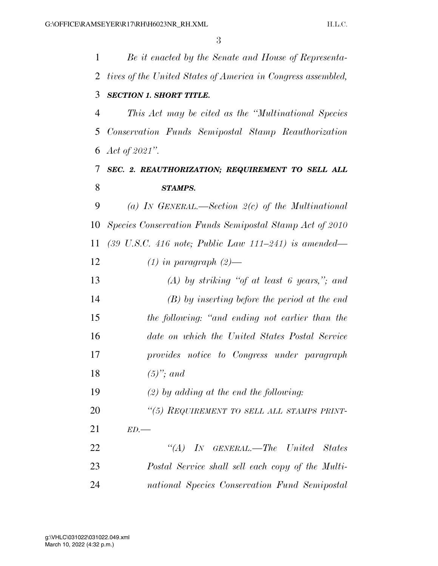| 1  | Be it enacted by the Senate and House of Representa-                                        |
|----|---------------------------------------------------------------------------------------------|
| 2  | tives of the United States of America in Congress assembled,                                |
| 3  | <b>SECTION 1. SHORT TITLE.</b>                                                              |
| 4  | This Act may be cited as the "Multinational Species"                                        |
| 5  | Conservation Funds Semipostal Stamp Reauthorization                                         |
| 6  | Act of $2021$ ".                                                                            |
| 7  | SEC. 2. REAUTHORIZATION; REQUIREMENT TO SELL ALL                                            |
| 8  | <b>STAMPS.</b>                                                                              |
| 9  | (a) IN GENERAL.—Section $2(c)$ of the Multinational                                         |
| 10 | Species Conservation Funds Semipostal Stamp Act of 2010                                     |
| 11 | $(39 \, \text{U.S.C. } 416 \, \text{note}; \text{ Public Law } 111-241) \text{ is amended}$ |
| 12 | $(1)$ in paragraph $(2)$ —                                                                  |
| 13 | $(A)$ by striking "of at least 6 years,"; and                                               |
| 14 | $(B)$ by inserting before the period at the end                                             |
| 15 | the following: "and ending not earlier than the                                             |
| 16 | date on which the United States Postal Service                                              |
| 17 | provides notice to Congress under paragraph                                                 |
| 18 | $(5)$ "; and                                                                                |
| 19 | $(2)$ by adding at the end the following:                                                   |
| 20 | "(5) REQUIREMENT TO SELL ALL STAMPS PRINT-                                                  |
| 21 | ED.                                                                                         |
| 22 | $\lq \lq (A)$ IN GENERAL.—The United<br>States                                              |
| 23 | Postal Service shall sell each copy of the Multi-                                           |
| 24 | national Species Conservation Fund Semipostal                                               |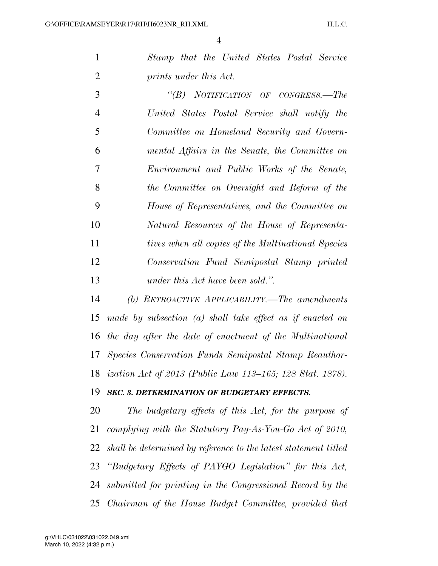*Stamp that the United States Postal Service prints under this Act.* 

 *''(B) NOTIFICATION OF CONGRESS.—The United States Postal Service shall notify the Committee on Homeland Security and Govern- mental Affairs in the Senate, the Committee on Environment and Public Works of the Senate, the Committee on Oversight and Reform of the House of Representatives, and the Committee on Natural Resources of the House of Representa- tives when all copies of the Multinational Species Conservation Fund Semipostal Stamp printed under this Act have been sold.''.* 

 *(b) RETROACTIVE APPLICABILITY.—The amendments made by subsection (a) shall take effect as if enacted on the day after the date of enactment of the Multinational Species Conservation Funds Semipostal Stamp Reauthor-ization Act of 2013 (Public Law 113–165; 128 Stat. 1878).* 

#### *SEC. 3. DETERMINATION OF BUDGETARY EFFECTS.*

 *The budgetary effects of this Act, for the purpose of complying with the Statutory Pay-As-You-Go Act of 2010, shall be determined by reference to the latest statement titled ''Budgetary Effects of PAYGO Legislation'' for this Act, submitted for printing in the Congressional Record by the Chairman of the House Budget Committee, provided that*